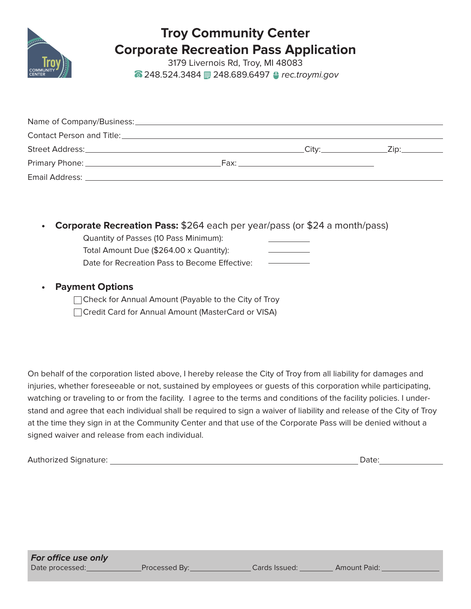

# **Troy Community Center Corporate Recreation Pass Application**

3179 Livernois Rd, Troy, MI 48083 **■ 248.524.3484 ■ 248.689.6497 ● rec.troymi.gov** 

| Street Address: No. 1996. The Street Address:                                                                                                                                                                                       | Citv:__________________ | _Zip:____________ |
|-------------------------------------------------------------------------------------------------------------------------------------------------------------------------------------------------------------------------------------|-------------------------|-------------------|
|                                                                                                                                                                                                                                     |                         |                   |
| <b>Email Address:</b> Annual Material Science of the Contract of the Contract of the Contract of the Contract of the Contract of the Contract of the Contract of the Contract of the Contract of the Contract of the Contract of th |                         |                   |

**• Corporate Recreation Pass:** \$264 each per year/pass (or \$24 a month/pass)

| Quantity of Passes (10 Pass Minimum):         |  |
|-----------------------------------------------|--|
| Total Amount Due (\$264.00 x Quantity):       |  |
| Date for Recreation Pass to Become Effective: |  |

# **• Payment Options**

| □ Check for Annual Amount (Payable to the City of Troy |
|--------------------------------------------------------|
| □ Credit Card for Annual Amount (MasterCard or VISA)   |

On behalf of the corporation listed above, I hereby release the City of Troy from all liability for damages and injuries, whether foreseeable or not, sustained by employees or guests of this corporation while participating, watching or traveling to or from the facility. I agree to the terms and conditions of the facility policies. I understand and agree that each individual shall be required to sign a waiver of liability and release of the City of Troy at the time they sign in at the Community Center and that use of the Corporate Pass will be denied without a signed waiver and release from each individual.

Authorized Signature: Date: